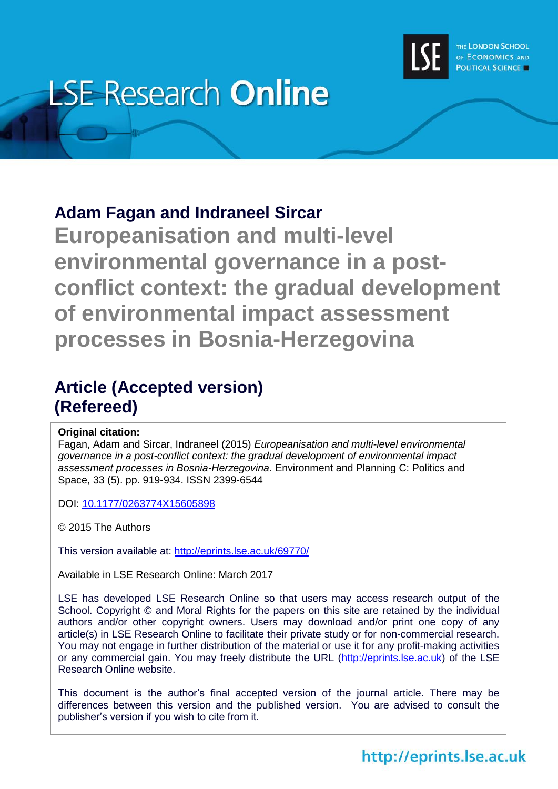

# **LSE Research Online**

# **Adam Fagan and Indraneel Sircar**

**Europeanisation and multi-level environmental governance in a postconflict context: the gradual development of environmental impact assessment processes in Bosnia-Herzegovina**

# **Article (Accepted version) (Refereed)**

#### **Original citation:**

Fagan, Adam and Sircar, Indraneel (2015) *Europeanisation and multi-level environmental governance in a post-conflict context: the gradual development of environmental impact assessment processes in Bosnia-Herzegovina.* Environment and Planning C: Politics and Space, 33 (5). pp. 919-934. ISSN 2399-6544

DOI: [10.1177/0263774X15605898](http://dx.doi.org/10.1177/0263774X15605898)

© 2015 The Authors

This version available at:<http://eprints.lse.ac.uk/69770/>

Available in LSE Research Online: March 2017

LSE has developed LSE Research Online so that users may access research output of the School. Copyright © and Moral Rights for the papers on this site are retained by the individual authors and/or other copyright owners. Users may download and/or print one copy of any article(s) in LSE Research Online to facilitate their private study or for non-commercial research. You may not engage in further distribution of the material or use it for any profit-making activities or any commercial gain. You may freely distribute the URL (http://eprints.lse.ac.uk) of the LSE Research Online website.

This document is the author's final accepted version of the journal article. There may be differences between this version and the published version. You are advised to consult the publisher's version if you wish to cite from it.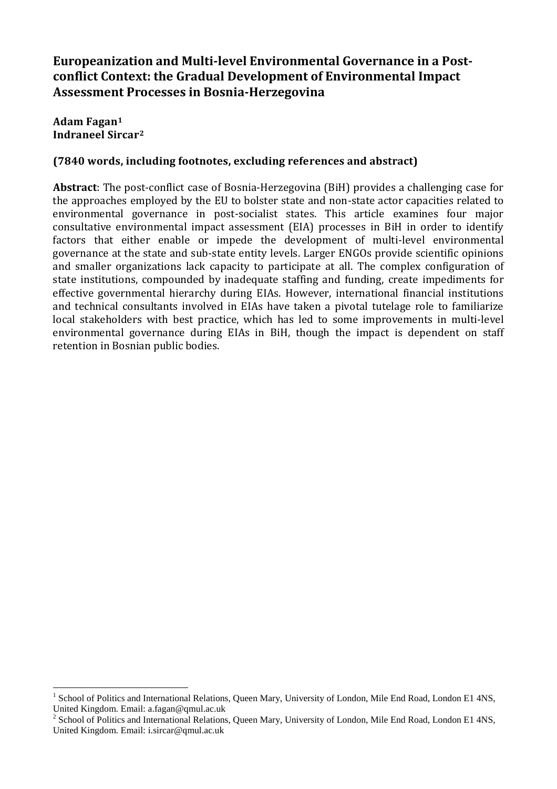# **Europeanization and Multi-level Environmental Governance in a Postconflict Context: the Gradual Development of Environmental Impact Assessment Processes in Bosnia-Herzegovina**

## **Adam Fagan<sup>1</sup> Indraneel Sircar<sup>2</sup>**

## **(7840 words, including footnotes, excluding references and abstract)**

**Abstract**: The post-conflict case of Bosnia-Herzegovina (BiH) provides a challenging case for the approaches employed by the EU to bolster state and non-state actor capacities related to environmental governance in post-socialist states. This article examines four major consultative environmental impact assessment (EIA) processes in BiH in order to identify factors that either enable or impede the development of multi-level environmental governance at the state and sub-state entity levels. Larger ENGOs provide scientific opinions and smaller organizations lack capacity to participate at all. The complex configuration of state institutions, compounded by inadequate staffing and funding, create impediments for effective governmental hierarchy during EIAs. However, international financial institutions and technical consultants involved in EIAs have taken a pivotal tutelage role to familiarize local stakeholders with best practice, which has led to some improvements in multi-level environmental governance during EIAs in BiH, though the impact is dependent on staff retention in Bosnian public bodies.

<sup>&</sup>lt;sup>1</sup> School of Politics and International Relations, Queen Mary, University of London, Mile End Road, London E1 4NS, United Kingdom. Email: a.fagan@qmul.ac.uk

<sup>&</sup>lt;sup>2</sup> School of Politics and International Relations, Queen Mary, University of London, Mile End Road, London E1 4NS, United Kingdom. Email: i.sircar@qmul.ac.uk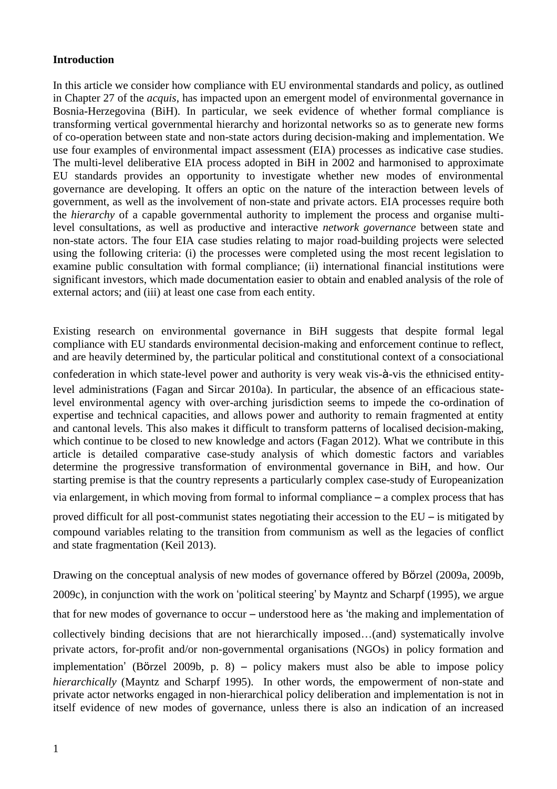#### **Introduction**

In this article we consider how compliance with EU environmental standards and policy, as outlined in Chapter 27 of the *acquis*, has impacted upon an emergent model of environmental governance in Bosnia-Herzegovina (BiH). In particular, we seek evidence of whether formal compliance is transforming vertical governmental hierarchy and horizontal networks so as to generate new forms of co-operation between state and non-state actors during decision-making and implementation. We use four examples of environmental impact assessment (EIA) processes as indicative case studies. The multi-level deliberative EIA process adopted in BiH in 2002 and harmonised to approximate EU standards provides an opportunity to investigate whether new modes of environmental governance are developing. It offers an optic on the nature of the interaction between levels of government, as well as the involvement of non-state and private actors. EIA processes require both the *hierarchy* of a capable governmental authority to implement the process and organise multilevel consultations, as well as productive and interactive *network governance* between state and non-state actors. The four EIA case studies relating to major road-building projects were selected using the following criteria: (i) the processes were completed using the most recent legislation to examine public consultation with formal compliance; (ii) international financial institutions were significant investors, which made documentation easier to obtain and enabled analysis of the role of external actors; and (iii) at least one case from each entity.

Existing research on environmental governance in BiH suggests that despite formal legal compliance with EU standards environmental decision-making and enforcement continue to reflect, and are heavily determined by, the particular political and constitutional context of a consociational

confederation in which state-level power and authority is very weak vis-à-vis the ethnicised entity-

level administrations (Fagan and Sircar 2010a). In particular, the absence of an efficacious statelevel environmental agency with over-arching jurisdiction seems to impede the co-ordination of expertise and technical capacities, and allows power and authority to remain fragmented at entity and cantonal levels. This also makes it difficult to transform patterns of localised decision-making, which continue to be closed to new knowledge and actors (Fagan 2012). What we contribute in this article is detailed comparative case-study analysis of which domestic factors and variables determine the progressive transformation of environmental governance in BiH, and how. Our starting premise is that the country represents a particularly complex case-study of Europeanization

via enlargement, in which moving from formal to informal compliance – a complex process that has

proved difficult for all post-communist states negotiating their accession to the EU – is mitigated by compound variables relating to the transition from communism as well as the legacies of conflict and state fragmentation (Keil 2013).

Drawing on the conceptual analysis of new modes of governance offered by Börzel (2009a, 2009b, 2009c), in conjunction with the work on 'political steering' by Mayntz and Scharpf (1995), we argue that for new modes of governance to occur – understood here as 'the making and implementation of collectively binding decisions that are not hierarchically imposed…(and) systematically involve private actors, for-profit and/or non-governmental organisations (NGOs) in policy formation and implementation' (Börzel 2009b, p. 8) – policy makers must also be able to impose policy *hierarchically* (Mayntz and Scharpf 1995). In other words, the empowerment of non-state and private actor networks engaged in non-hierarchical policy deliberation and implementation is not in itself evidence of new modes of governance, unless there is also an indication of an increased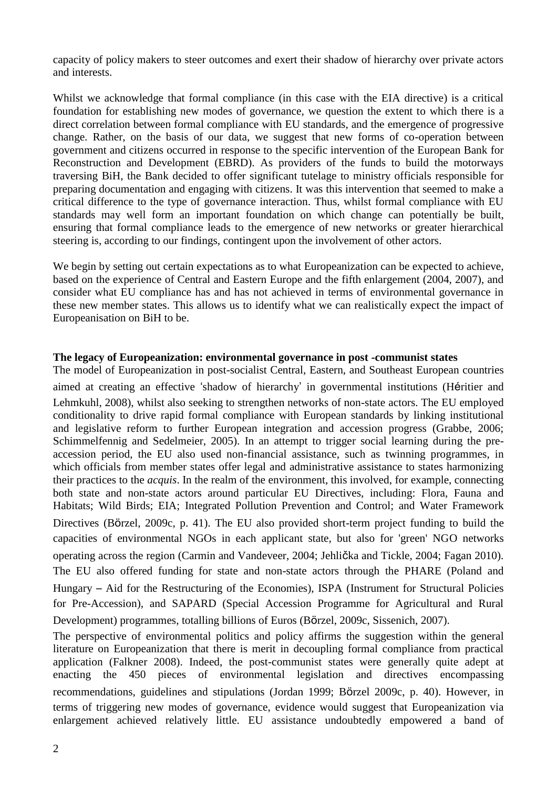capacity of policy makers to steer outcomes and exert their shadow of hierarchy over private actors and interests.

Whilst we acknowledge that formal compliance (in this case with the EIA directive) is a critical foundation for establishing new modes of governance, we question the extent to which there is a direct correlation between formal compliance with EU standards, and the emergence of progressive change. Rather, on the basis of our data, we suggest that new forms of co-operation between government and citizens occurred in response to the specific intervention of the European Bank for Reconstruction and Development (EBRD). As providers of the funds to build the motorways traversing BiH, the Bank decided to offer significant tutelage to ministry officials responsible for preparing documentation and engaging with citizens. It was this intervention that seemed to make a critical difference to the type of governance interaction. Thus, whilst formal compliance with EU standards may well form an important foundation on which change can potentially be built, ensuring that formal compliance leads to the emergence of new networks or greater hierarchical steering is, according to our findings, contingent upon the involvement of other actors.

We begin by setting out certain expectations as to what Europeanization can be expected to achieve, based on the experience of Central and Eastern Europe and the fifth enlargement (2004, 2007), and consider what EU compliance has and has not achieved in terms of environmental governance in these new member states. This allows us to identify what we can realistically expect the impact of Europeanisation on BiH to be.

#### **The legacy of Europeanization: environmental governance in post -communist states**

The model of Europeanization in post-socialist Central, Eastern, and Southeast European countries aimed at creating an effective 'shadow of hierarchy' in governmental institutions (Héritier and Lehmkuhl, 2008), whilst also seeking to strengthen networks of non-state actors. The EU employed conditionality to drive rapid formal compliance with European standards by linking institutional and legislative reform to further European integration and accession progress (Grabbe, 2006; Schimmelfennig and Sedelmeier, 2005). In an attempt to trigger social learning during the preaccession period, the EU also used non-financial assistance, such as twinning programmes, in which officials from member states offer legal and administrative assistance to states harmonizing their practices to the *acquis*. In the realm of the environment, this involved, for example, connecting both state and non-state actors around particular EU Directives, including: Flora, Fauna and Habitats; Wild Birds; EIA; Integrated Pollution Prevention and Control; and Water Framework Directives (Börzel, 2009c, p. 41). The EU also provided short-term project funding to build the capacities of environmental NGOs in each applicant state, but also for 'green' NGO networks operating across the region (Carmin and Vandeveer, 2004; Jehlička and Tickle, 2004; Fagan 2010). The EU also offered funding for state and non-state actors through the PHARE (Poland and Hungary – Aid for the Restructuring of the Economies), ISPA (Instrument for Structural Policies for Pre-Accession), and SAPARD (Special Accession Programme for Agricultural and Rural Development) programmes, totalling billions of Euros (Börzel, 2009c, Sissenich, 2007).

The perspective of environmental politics and policy affirms the suggestion within the general literature on Europeanization that there is merit in decoupling formal compliance from practical application (Falkner 2008). Indeed, the post-communist states were generally quite adept at enacting the 450 pieces of environmental legislation and directives encompassing recommendations, guidelines and stipulations (Jordan 1999; Börzel 2009c, p. 40). However, in terms of triggering new modes of governance, evidence would suggest that Europeanization via enlargement achieved relatively little. EU assistance undoubtedly empowered a band of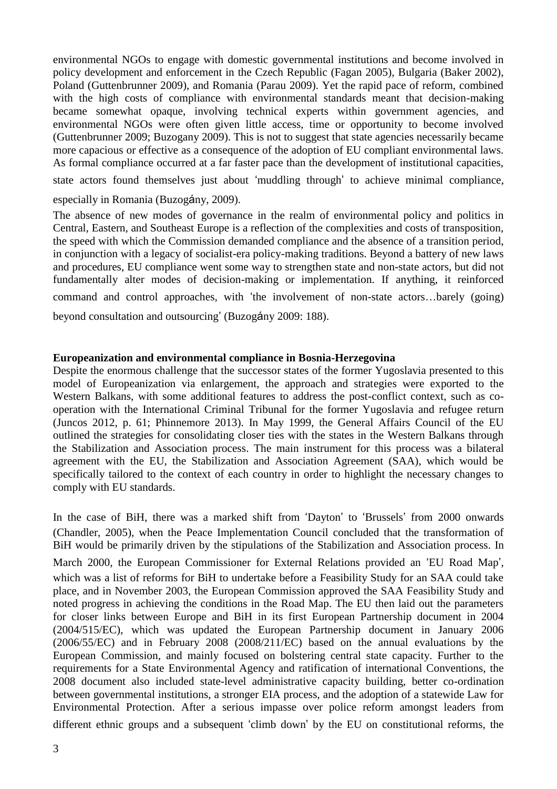environmental NGOs to engage with domestic governmental institutions and become involved in policy development and enforcement in the Czech Republic (Fagan 2005), Bulgaria (Baker 2002), Poland (Guttenbrunner 2009), and Romania (Parau 2009). Yet the rapid pace of reform, combined with the high costs of compliance with environmental standards meant that decision-making became somewhat opaque, involving technical experts within government agencies, and environmental NGOs were often given little access, time or opportunity to become involved (Guttenbrunner 2009; Buzogany 2009). This is not to suggest that state agencies necessarily became more capacious or effective as a consequence of the adoption of EU compliant environmental laws. As formal compliance occurred at a far faster pace than the development of institutional capacities,

state actors found themselves just about 'muddling through' to achieve minimal compliance,

#### especially in Romania (Buzogány, 2009).

The absence of new modes of governance in the realm of environmental policy and politics in Central, Eastern, and Southeast Europe is a reflection of the complexities and costs of transposition, the speed with which the Commission demanded compliance and the absence of a transition period, in conjunction with a legacy of socialist-era policy-making traditions. Beyond a battery of new laws and procedures, EU compliance went some way to strengthen state and non-state actors, but did not fundamentally alter modes of decision-making or implementation. If anything, it reinforced command and control approaches, with 'the involvement of non-state actors…barely (going) beyond consultation and outsourcing' (Buzogány 2009: 188).

#### **Europeanization and environmental compliance in Bosnia-Herzegovina**

Despite the enormous challenge that the successor states of the former Yugoslavia presented to this model of Europeanization via enlargement, the approach and strategies were exported to the Western Balkans, with some additional features to address the post-conflict context, such as cooperation with the International Criminal Tribunal for the former Yugoslavia and refugee return (Juncos 2012, p. 61; Phinnemore 2013). In May 1999, the General Affairs Council of the EU outlined the strategies for consolidating closer ties with the states in the Western Balkans through the Stabilization and Association process. The main instrument for this process was a bilateral agreement with the EU, the Stabilization and Association Agreement (SAA), which would be specifically tailored to the context of each country in order to highlight the necessary changes to comply with EU standards.

In the case of BiH, there was a marked shift from 'Dayton' to 'Brussels' from 2000 onwards (Chandler, 2005), when the Peace Implementation Council concluded that the transformation of BiH would be primarily driven by the stipulations of the Stabilization and Association process. In March 2000, the European Commissioner for External Relations provided an 'EU Road Map', which was a list of reforms for BiH to undertake before a Feasibility Study for an SAA could take place, and in November 2003, the European Commission approved the SAA Feasibility Study and noted progress in achieving the conditions in the Road Map. The EU then laid out the parameters for closer links between Europe and BiH in its first European Partnership document in 2004 (2004/515/EC), which was updated the European Partnership document in January 2006 (2006/55/EC) and in February 2008 (2008/211/EC) based on the annual evaluations by the European Commission, and mainly focused on bolstering central state capacity. Further to the requirements for a State Environmental Agency and ratification of international Conventions, the 2008 document also included state-level administrative capacity building, better co-ordination between governmental institutions, a stronger EIA process, and the adoption of a statewide Law for Environmental Protection. After a serious impasse over police reform amongst leaders from different ethnic groups and a subsequent 'climb down' by the EU on constitutional reforms, the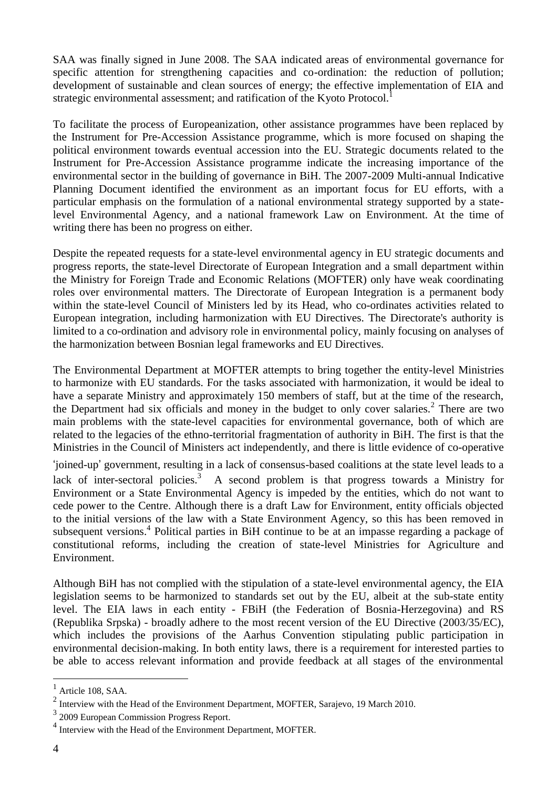SAA was finally signed in June 2008. The SAA indicated areas of environmental governance for specific attention for strengthening capacities and co-ordination: the reduction of pollution; development of sustainable and clean sources of energy; the effective implementation of EIA and strategic environmental assessment; and ratification of the Kyoto Protocol.<sup>1</sup>

To facilitate the process of Europeanization, other assistance programmes have been replaced by the Instrument for Pre-Accession Assistance programme, which is more focused on shaping the political environment towards eventual accession into the EU. Strategic documents related to the Instrument for Pre-Accession Assistance programme indicate the increasing importance of the environmental sector in the building of governance in BiH. The 2007-2009 Multi-annual Indicative Planning Document identified the environment as an important focus for EU efforts, with a particular emphasis on the formulation of a national environmental strategy supported by a statelevel Environmental Agency, and a national framework Law on Environment. At the time of writing there has been no progress on either.

Despite the repeated requests for a state-level environmental agency in EU strategic documents and progress reports, the state-level Directorate of European Integration and a small department within the Ministry for Foreign Trade and Economic Relations (MOFTER) only have weak coordinating roles over environmental matters. The Directorate of European Integration is a permanent body within the state-level Council of Ministers led by its Head, who co-ordinates activities related to European integration, including harmonization with EU Directives. The Directorate's authority is limited to a co-ordination and advisory role in environmental policy, mainly focusing on analyses of the harmonization between Bosnian legal frameworks and EU Directives.

The Environmental Department at MOFTER attempts to bring together the entity-level Ministries to harmonize with EU standards. For the tasks associated with harmonization, it would be ideal to have a separate Ministry and approximately 150 members of staff, but at the time of the research, the Department had six officials and money in the budget to only cover salaries.<sup>2</sup> There are two main problems with the state-level capacities for environmental governance, both of which are related to the legacies of the ethno-territorial fragmentation of authority in BiH. The first is that the Ministries in the Council of Ministers act independently, and there is little evidence of co-operative

'joined-up' government, resulting in a lack of consensus-based coalitions at the state level leads to a lack of inter-sectoral policies.<sup>3</sup> A second problem is that progress towards a Ministry for Environment or a State Environmental Agency is impeded by the entities, which do not want to cede power to the Centre. Although there is a draft Law for Environment, entity officials objected to the initial versions of the law with a State Environment Agency, so this has been removed in subsequent versions.<sup>4</sup> Political parties in BiH continue to be at an impasse regarding a package of constitutional reforms, including the creation of state-level Ministries for Agriculture and Environment.

Although BiH has not complied with the stipulation of a state-level environmental agency, the EIA legislation seems to be harmonized to standards set out by the EU, albeit at the sub-state entity level. The EIA laws in each entity - FBiH (the Federation of Bosnia-Herzegovina) and RS (Republika Srpska) - broadly adhere to the most recent version of the EU Directive (2003/35/EC), which includes the provisions of the Aarhus Convention stipulating public participation in environmental decision-making. In both entity laws, there is a requirement for interested parties to be able to access relevant information and provide feedback at all stages of the environmental

<sup>1</sup> Article 108, SAA.

<sup>&</sup>lt;sup>2</sup> Interview with the Head of the Environment Department, MOFTER, Sarajevo, 19 March 2010.

<sup>&</sup>lt;sup>3</sup> 2009 European Commission Progress Report.

<sup>4</sup> Interview with the Head of the Environment Department, MOFTER.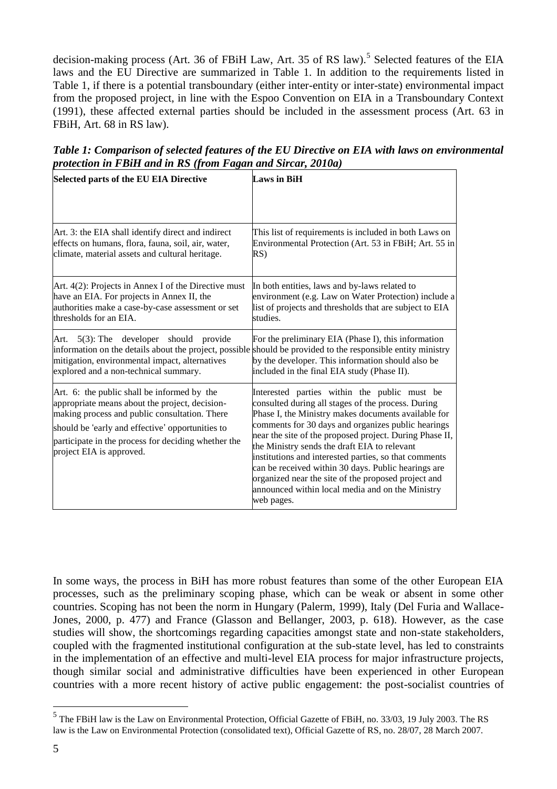decision-making process (Art. 36 of FBiH Law, Art. 35 of RS law).<sup>5</sup> Selected features of the EIA laws and the EU Directive are summarized in Table 1. In addition to the requirements listed in Table 1, if there is a potential transboundary (either inter-entity or inter-state) environmental impact from the proposed project, in line with the Espoo Convention on EIA in a Transboundary Context (1991), these affected external parties should be included in the assessment process (Art. 63 in FBiH, Art. 68 in RS law).

*Table 1: Comparison of selected features of the EU Directive on EIA with laws on environmental protection in FBiH and in RS (from Fagan and Sircar, 2010a)*

| <b>Selected parts of the EU EIA Directive</b>                                                                                                                                                                                                                                         | <b>Laws in BiH</b>                                                                                                                                                                                                                                                                                                                                                                                                                                                                                                                                                  |
|---------------------------------------------------------------------------------------------------------------------------------------------------------------------------------------------------------------------------------------------------------------------------------------|---------------------------------------------------------------------------------------------------------------------------------------------------------------------------------------------------------------------------------------------------------------------------------------------------------------------------------------------------------------------------------------------------------------------------------------------------------------------------------------------------------------------------------------------------------------------|
|                                                                                                                                                                                                                                                                                       |                                                                                                                                                                                                                                                                                                                                                                                                                                                                                                                                                                     |
| Art. 3: the EIA shall identify direct and indirect<br>effects on humans, flora, fauna, soil, air, water,<br>climate, material assets and cultural heritage.                                                                                                                           | This list of requirements is included in both Laws on<br>Environmental Protection (Art. 53 in FBiH; Art. 55 in<br>RS)                                                                                                                                                                                                                                                                                                                                                                                                                                               |
| Art. $4(2)$ : Projects in Annex I of the Directive must<br>have an EIA. For projects in Annex II, the<br>authorities make a case-by-case assessment or set<br>thresholds for an EIA.                                                                                                  | In both entities, laws and by-laws related to<br>environment (e.g. Law on Water Protection) include a<br>list of projects and thresholds that are subject to EIA<br>studies.                                                                                                                                                                                                                                                                                                                                                                                        |
| Art. $5(3)$ : The developer should provide<br>information on the details about the project, possible should be provided to the responsible entity ministry<br>mitigation, environmental impact, alternatives<br>explored and a non-technical summary.                                 | For the preliminary EIA (Phase I), this information<br>by the developer. This information should also be<br>included in the final EIA study (Phase II).                                                                                                                                                                                                                                                                                                                                                                                                             |
| Art. 6: the public shall be informed by the<br>appropriate means about the project, decision-<br>making process and public consultation. There<br>should be 'early and effective' opportunities to<br>participate in the process for deciding whether the<br>project EIA is approved. | Interested parties within the public must be<br>consulted during all stages of the process. During<br>Phase I, the Ministry makes documents available for<br>comments for 30 days and organizes public hearings<br>near the site of the proposed project. During Phase II,<br>the Ministry sends the draft EIA to relevant<br>institutions and interested parties, so that comments<br>can be received within 30 days. Public hearings are<br>organized near the site of the proposed project and<br>announced within local media and on the Ministry<br>web pages. |

In some ways, the process in BiH has more robust features than some of the other European EIA processes, such as the preliminary scoping phase, which can be weak or absent in some other countries. Scoping has not been the norm in Hungary (Palerm, 1999), Italy (Del Furia and Wallace-Jones, 2000, p. 477) and France (Glasson and Bellanger, 2003, p. 618). However, as the case studies will show, the shortcomings regarding capacities amongst state and non-state stakeholders, coupled with the fragmented institutional configuration at the sub-state level, has led to constraints in the implementation of an effective and multi-level EIA process for major infrastructure projects, though similar social and administrative difficulties have been experienced in other European countries with a more recent history of active public engagement: the post-socialist countries of

<sup>&</sup>lt;sup>5</sup> The FBiH law is the Law on Environmental Protection, Official Gazette of FBiH, no. 33/03, 19 July 2003. The RS law is the Law on Environmental Protection (consolidated text), Official Gazette of RS, no. 28/07, 28 March 2007.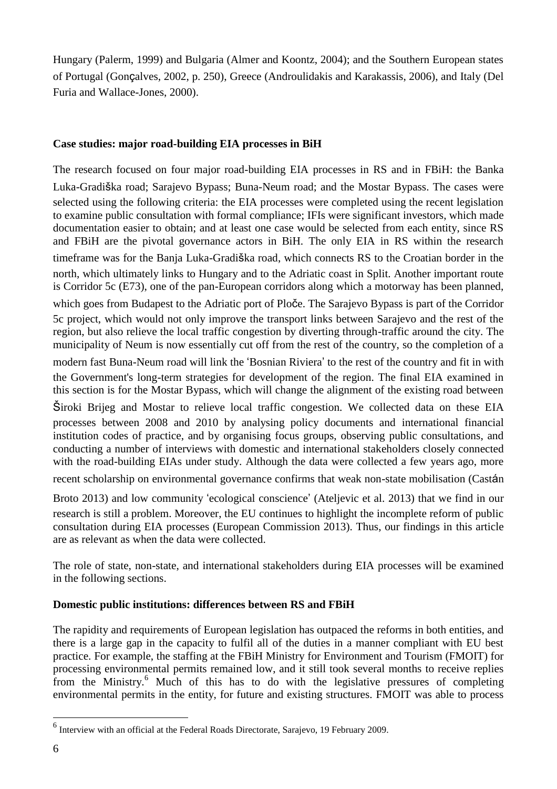Hungary (Palerm, 1999) and Bulgaria (Almer and Koontz, 2004); and the Southern European states of Portugal (Gonçalves, 2002, p. 250), Greece (Androulidakis and Karakassis, 2006), and Italy (Del Furia and Wallace-Jones, 2000).

### **Case studies: major road-building EIA processes in BiH**

The research focused on four major road-building EIA processes in RS and in FBiH: the Banka Luka-Gradiška road; Sarajevo Bypass; Buna-Neum road; and the Mostar Bypass. The cases were selected using the following criteria: the EIA processes were completed using the recent legislation to examine public consultation with formal compliance; IFIs were significant investors, which made documentation easier to obtain; and at least one case would be selected from each entity, since RS and FBiH are the pivotal governance actors in BiH. The only EIA in RS within the research timeframe was for the Banja Luka-Gradiška road, which connects RS to the Croatian border in the north, which ultimately links to Hungary and to the Adriatic coast in Split. Another important route is Corridor 5c (E73), one of the pan-European corridors along which a motorway has been planned, which goes from Budapest to the Adriatic port of Ploče. The Sarajevo Bypass is part of the Corridor 5c project, which would not only improve the transport links between Sarajevo and the rest of the region, but also relieve the local traffic congestion by diverting through-traffic around the city. The municipality of Neum is now essentially cut off from the rest of the country, so the completion of a

modern fast Buna-Neum road will link the 'Bosnian Riviera' to the rest of the country and fit in with the Government's long-term strategies for development of the region. The final EIA examined in this section is for the Mostar Bypass, which will change the alignment of the existing road between

Široki Brijeg and Mostar to relieve local traffic congestion. We collected data on these EIA processes between 2008 and 2010 by analysing policy documents and international financial institution codes of practice, and by organising focus groups, observing public consultations, and conducting a number of interviews with domestic and international stakeholders closely connected with the road-building EIAs under study. Although the data were collected a few years ago, more

recent scholarship on environmental governance confirms that weak non-state mobilisation (Castán

Broto 2013) and low community 'ecological conscience' (Ateljevic et al. 2013) that we find in our research is still a problem. Moreover, the EU continues to highlight the incomplete reform of public consultation during EIA processes (European Commission 2013). Thus, our findings in this article are as relevant as when the data were collected.

The role of state, non-state, and international stakeholders during EIA processes will be examined in the following sections.

#### **Domestic public institutions: differences between RS and FBiH**

The rapidity and requirements of European legislation has outpaced the reforms in both entities, and there is a large gap in the capacity to fulfil all of the duties in a manner compliant with EU best practice. For example, the staffing at the FBiH Ministry for Environment and Tourism (FMOIT) for processing environmental permits remained low, and it still took several months to receive replies from the Ministry. $<sup>6</sup>$  Much of this has to do with the legislative pressures of completing</sup> environmental permits in the entity, for future and existing structures. FMOIT was able to process

<sup>&</sup>lt;sup>6</sup> Interview with an official at the Federal Roads Directorate, Sarajevo, 19 February 2009.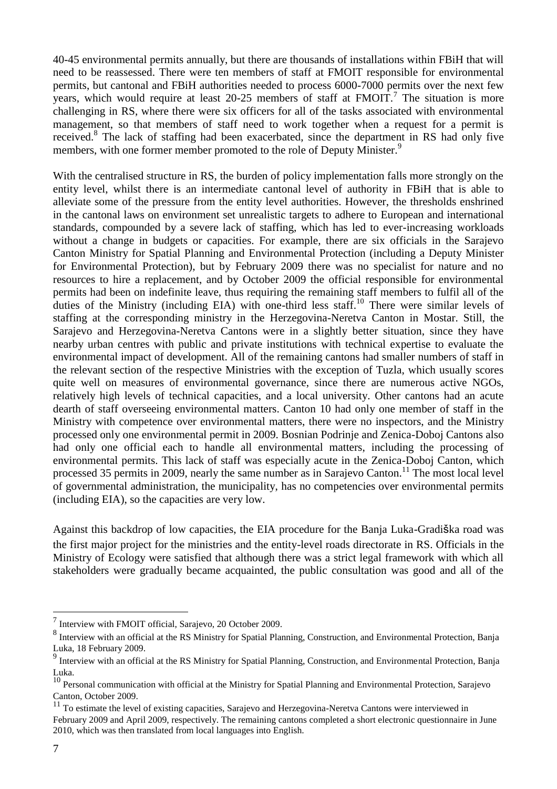40-45 environmental permits annually, but there are thousands of installations within FBiH that will need to be reassessed. There were ten members of staff at FMOIT responsible for environmental permits, but cantonal and FBiH authorities needed to process 6000-7000 permits over the next few years, which would require at least  $20-25$  members of staff at FMOIT.<sup>7</sup> The situation is more challenging in RS, where there were six officers for all of the tasks associated with environmental management, so that members of staff need to work together when a request for a permit is received.<sup>8</sup> The lack of staffing had been exacerbated, since the department in RS had only five members, with one former member promoted to the role of Deputy Minister.<sup>9</sup>

With the centralised structure in RS, the burden of policy implementation falls more strongly on the entity level, whilst there is an intermediate cantonal level of authority in FBiH that is able to alleviate some of the pressure from the entity level authorities. However, the thresholds enshrined in the cantonal laws on environment set unrealistic targets to adhere to European and international standards, compounded by a severe lack of staffing, which has led to ever-increasing workloads without a change in budgets or capacities. For example, there are six officials in the Sarajevo Canton Ministry for Spatial Planning and Environmental Protection (including a Deputy Minister for Environmental Protection), but by February 2009 there was no specialist for nature and no resources to hire a replacement, and by October 2009 the official responsible for environmental permits had been on indefinite leave, thus requiring the remaining staff members to fulfil all of the duties of the Ministry (including EIA) with one-third less staff.<sup>10</sup> There were similar levels of staffing at the corresponding ministry in the Herzegovina-Neretva Canton in Mostar. Still, the Sarajevo and Herzegovina-Neretva Cantons were in a slightly better situation, since they have nearby urban centres with public and private institutions with technical expertise to evaluate the environmental impact of development. All of the remaining cantons had smaller numbers of staff in the relevant section of the respective Ministries with the exception of Tuzla, which usually scores quite well on measures of environmental governance, since there are numerous active NGOs, relatively high levels of technical capacities, and a local university. Other cantons had an acute dearth of staff overseeing environmental matters. Canton 10 had only one member of staff in the Ministry with competence over environmental matters, there were no inspectors, and the Ministry processed only one environmental permit in 2009. Bosnian Podrinje and Zenica-Doboj Cantons also had only one official each to handle all environmental matters, including the processing of environmental permits. This lack of staff was especially acute in the Zenica-Doboj Canton, which processed 35 permits in 2009, nearly the same number as in Sarajevo Canton.<sup>11</sup> The most local level of governmental administration, the municipality, has no competencies over environmental permits (including EIA), so the capacities are very low.

Against this backdrop of low capacities, the EIA procedure for the Banja Luka-Gradiška road was the first major project for the ministries and the entity-level roads directorate in RS. Officials in the Ministry of Ecology were satisfied that although there was a strict legal framework with which all stakeholders were gradually became acquainted, the public consultation was good and all of the

<sup>&</sup>lt;sup>7</sup> Interview with FMOIT official, Sarajevo, 20 October 2009.

 $8$  Interview with an official at the RS Ministry for Spatial Planning, Construction, and Environmental Protection, Banja Luka, 18 February 2009.

<sup>&</sup>lt;sup>9</sup> Interview with an official at the RS Ministry for Spatial Planning, Construction, and Environmental Protection, Banja Luka.

<sup>&</sup>lt;sup>10</sup> Personal communication with official at the Ministry for Spatial Planning and Environmental Protection, Sarajevo Canton, October 2009.

<sup>&</sup>lt;sup>11</sup> To estimate the level of existing capacities, Sarajevo and Herzegovina-Neretva Cantons were interviewed in February 2009 and April 2009, respectively. The remaining cantons completed a short electronic questionnaire in June 2010, which was then translated from local languages into English.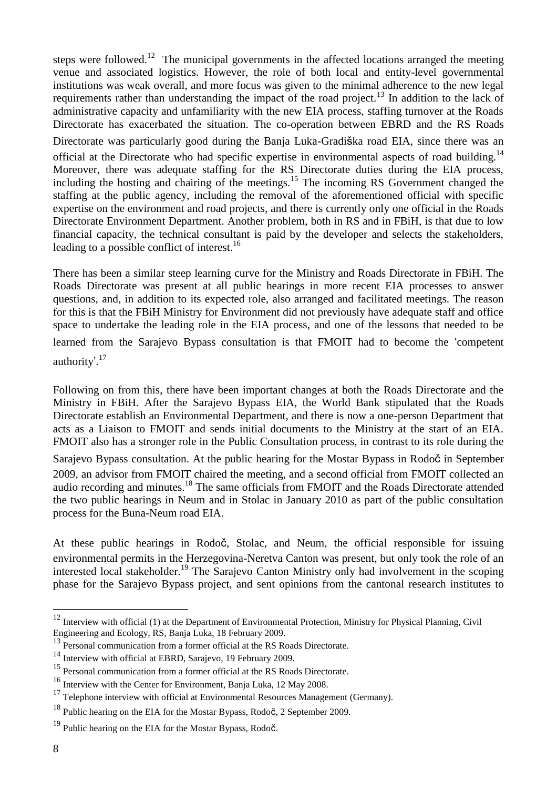steps were followed.<sup>12</sup> The municipal governments in the affected locations arranged the meeting venue and associated logistics. However, the role of both local and entity-level governmental institutions was weak overall, and more focus was given to the minimal adherence to the new legal requirements rather than understanding the impact of the road project.<sup>13</sup> In addition to the lack of administrative capacity and unfamiliarity with the new EIA process, staffing turnover at the Roads Directorate has exacerbated the situation. The co-operation between EBRD and the RS Roads Directorate was particularly good during the Banja Luka-Gradiška road EIA, since there was an official at the Directorate who had specific expertise in environmental aspects of road building.<sup>14</sup> Moreover, there was adequate staffing for the RS Directorate duties during the EIA process, including the hosting and chairing of the meetings.<sup>15</sup> The incoming RS Government changed the staffing at the public agency, including the removal of the aforementioned official with specific expertise on the environment and road projects, and there is currently only one official in the Roads Directorate Environment Department. Another problem, both in RS and in FBiH, is that due to low financial capacity, the technical consultant is paid by the developer and selects the stakeholders, leading to a possible conflict of interest.<sup>16</sup>

There has been a similar steep learning curve for the Ministry and Roads Directorate in FBiH. The Roads Directorate was present at all public hearings in more recent EIA processes to answer questions, and, in addition to its expected role, also arranged and facilitated meetings. The reason for this is that the FBiH Ministry for Environment did not previously have adequate staff and office space to undertake the leading role in the EIA process, and one of the lessons that needed to be learned from the Sarajevo Bypass consultation is that FMOIT had to become the 'competent authority'.<sup>17</sup>

Following on from this, there have been important changes at both the Roads Directorate and the Ministry in FBiH. After the Sarajevo Bypass EIA, the World Bank stipulated that the Roads Directorate establish an Environmental Department, and there is now a one-person Department that acts as a Liaison to FMOIT and sends initial documents to the Ministry at the start of an EIA. FMOIT also has a stronger role in the Public Consultation process, in contrast to its role during the

Sarajevo Bypass consultation. At the public hearing for the Mostar Bypass in Rodoč in September 2009, an advisor from FMOIT chaired the meeting, and a second official from FMOIT collected an audio recording and minutes.<sup>18</sup> The same officials from FMOIT and the Roads Directorate attended the two public hearings in Neum and in Stolac in January 2010 as part of the public consultation process for the Buna-Neum road EIA.

At these public hearings in Rodoč, Stolac, and Neum, the official responsible for issuing environmental permits in the Herzegovina-Neretva Canton was present, but only took the role of an interested local stakeholder.<sup>19</sup> The Sarajevo Canton Ministry only had involvement in the scoping phase for the Sarajevo Bypass project, and sent opinions from the cantonal research institutes to

 $12$  Interview with official (1) at the Department of Environmental Protection, Ministry for Physical Planning, Civil Engineering and Ecology, RS, Banja Luka, 18 February 2009.

<sup>&</sup>lt;sup>13</sup> Personal communication from a former official at the RS Roads Directorate.

<sup>14</sup> Interview with official at EBRD, Sarajevo, 19 February 2009.

<sup>&</sup>lt;sup>15</sup> Personal communication from a former official at the RS Roads Directorate.

<sup>16</sup> Interview with the Center for Environment, Banja Luka, 12 May 2008.

 $17$  Telephone interview with official at Environmental Resources Management (Germany).

<sup>&</sup>lt;sup>18</sup> Public hearing on the EIA for the Mostar Bypass, Rodo**č**, 2 September 2009.

<sup>&</sup>lt;sup>19</sup> Public hearing on the EIA for the Mostar Bypass, Rodo**č**.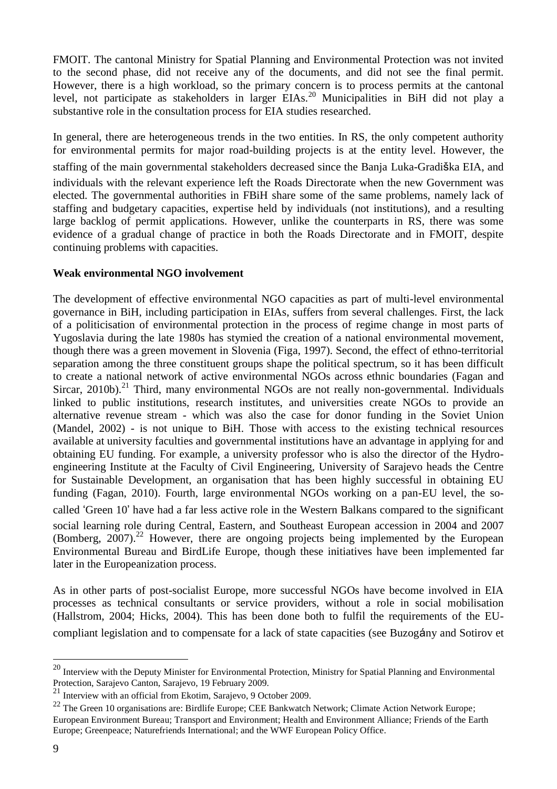FMOIT. The cantonal Ministry for Spatial Planning and Environmental Protection was not invited to the second phase, did not receive any of the documents, and did not see the final permit. However, there is a high workload, so the primary concern is to process permits at the cantonal level, not participate as stakeholders in larger EIAs.<sup>20</sup> Municipalities in BiH did not play a substantive role in the consultation process for EIA studies researched.

In general, there are heterogeneous trends in the two entities. In RS, the only competent authority for environmental permits for major road-building projects is at the entity level. However, the staffing of the main governmental stakeholders decreased since the Banja Luka-Gradiška EIA, and individuals with the relevant experience left the Roads Directorate when the new Government was elected. The governmental authorities in FBiH share some of the same problems, namely lack of staffing and budgetary capacities, expertise held by individuals (not institutions), and a resulting large backlog of permit applications. However, unlike the counterparts in RS, there was some evidence of a gradual change of practice in both the Roads Directorate and in FMOIT, despite continuing problems with capacities.

#### **Weak environmental NGO involvement**

The development of effective environmental NGO capacities as part of multi-level environmental governance in BiH, including participation in EIAs, suffers from several challenges. First, the lack of a politicisation of environmental protection in the process of regime change in most parts of Yugoslavia during the late 1980s has stymied the creation of a national environmental movement, though there was a green movement in Slovenia (Figa, 1997). Second, the effect of ethno-territorial separation among the three constituent groups shape the political spectrum, so it has been difficult to create a national network of active environmental NGOs across ethnic boundaries (Fagan and Sircar,  $2010b$ .<sup>21</sup> Third, many environmental NGOs are not really non-governmental. Individuals linked to public institutions, research institutes, and universities create NGOs to provide an alternative revenue stream - which was also the case for donor funding in the Soviet Union (Mandel, 2002) - is not unique to BiH. Those with access to the existing technical resources available at university faculties and governmental institutions have an advantage in applying for and obtaining EU funding. For example, a university professor who is also the director of the Hydroengineering Institute at the Faculty of Civil Engineering, University of Sarajevo heads the Centre for Sustainable Development, an organisation that has been highly successful in obtaining EU funding (Fagan, 2010). Fourth, large environmental NGOs working on a pan-EU level, the socalled 'Green 10' have had a far less active role in the Western Balkans compared to the significant social learning role during Central, Eastern, and Southeast European accession in 2004 and 2007 (Bomberg,  $2007$ ).<sup>22</sup> However, there are ongoing projects being implemented by the European Environmental Bureau and BirdLife Europe, though these initiatives have been implemented far later in the Europeanization process.

As in other parts of post-socialist Europe, more successful NGOs have become involved in EIA processes as technical consultants or service providers, without a role in social mobilisation (Hallstrom, 2004; Hicks, 2004). This has been done both to fulfil the requirements of the EUcompliant legislation and to compensate for a lack of state capacities (see Buzogány and Sotirov et

 $^{20}$  Interview with the Deputy Minister for Environmental Protection, Ministry for Spatial Planning and Environmental Protection, Sarajevo Canton, Sarajevo, 19 February 2009.

<sup>&</sup>lt;sup>21</sup> Interview with an official from Ekotim, Sarajevo, 9 October 2009.

<sup>&</sup>lt;sup>22</sup> The Green 10 organisations are: Birdlife Europe; CEE Bankwatch Network; Climate Action Network Europe; European Environment Bureau; Transport and Environment; Health and Environment Alliance; Friends of the Earth Europe; Greenpeace; Naturefriends International; and the WWF European Policy Office.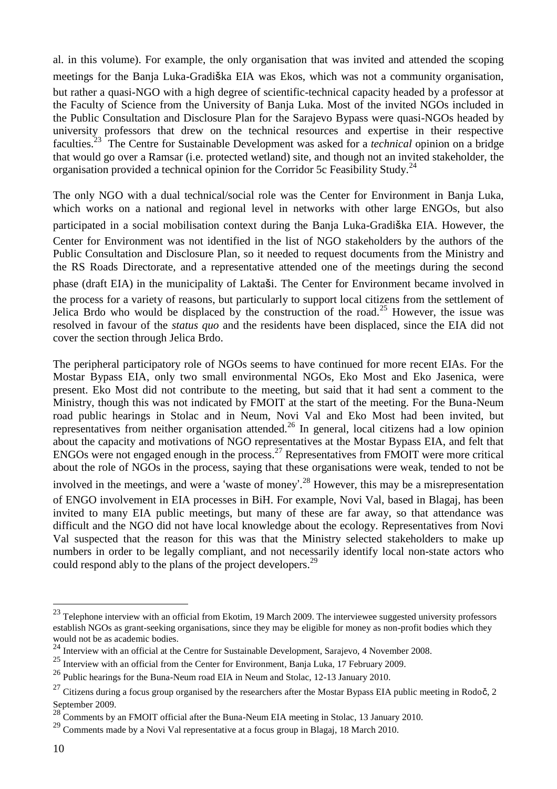al. in this volume). For example, the only organisation that was invited and attended the scoping meetings for the Banja Luka-Gradiška EIA was Ekos, which was not a community organisation, but rather a quasi-NGO with a high degree of scientific-technical capacity headed by a professor at the Faculty of Science from the University of Banja Luka. Most of the invited NGOs included in the Public Consultation and Disclosure Plan for the Sarajevo Bypass were quasi-NGOs headed by university professors that drew on the technical resources and expertise in their respective faculties.<sup>23</sup> The Centre for Sustainable Development was asked for a *technical* opinion on a bridge that would go over a Ramsar (i.e. protected wetland) site, and though not an invited stakeholder, the organisation provided a technical opinion for the Corridor 5c Feasibility Study.<sup>24</sup>

The only NGO with a dual technical/social role was the Center for Environment in Banja Luka, which works on a national and regional level in networks with other large ENGOs, but also participated in a social mobilisation context during the Banja Luka-Gradiška EIA. However, the Center for Environment was not identified in the list of NGO stakeholders by the authors of the Public Consultation and Disclosure Plan, so it needed to request documents from the Ministry and the RS Roads Directorate, and a representative attended one of the meetings during the second phase (draft EIA) in the municipality of Laktaši. The Center for Environment became involved in the process for a variety of reasons, but particularly to support local citizens from the settlement of Jelica Brdo who would be displaced by the construction of the road.<sup>25</sup> However, the issue was resolved in favour of the *status quo* and the residents have been displaced, since the EIA did not cover the section through Jelica Brdo.

The peripheral participatory role of NGOs seems to have continued for more recent EIAs. For the Mostar Bypass EIA, only two small environmental NGOs, Eko Most and Eko Jasenica, were present. Eko Most did not contribute to the meeting, but said that it had sent a comment to the Ministry, though this was not indicated by FMOIT at the start of the meeting. For the Buna-Neum road public hearings in Stolac and in Neum, Novi Val and Eko Most had been invited, but representatives from neither organisation attended.<sup>26</sup> In general, local citizens had a low opinion about the capacity and motivations of NGO representatives at the Mostar Bypass EIA, and felt that ENGOs were not engaged enough in the process.<sup>27</sup> Representatives from FMOIT were more critical about the role of NGOs in the process, saying that these organisations were weak, tended to not be involved in the meetings, and were a 'waste of money'.<sup>28</sup> However, this may be a misrepresentation of ENGO involvement in EIA processes in BiH. For example, Novi Val, based in Blagaj, has been invited to many EIA public meetings, but many of these are far away, so that attendance was difficult and the NGO did not have local knowledge about the ecology. Representatives from Novi Val suspected that the reason for this was that the Ministry selected stakeholders to make up numbers in order to be legally compliant, and not necessarily identify local non-state actors who could respond ably to the plans of the project developers.<sup>29</sup>

 $^{23}$  Telephone interview with an official from Ekotim, 19 March 2009. The interviewee suggested university professors establish NGOs as grant-seeking organisations, since they may be eligible for money as non-profit bodies which they would not be as academic bodies.

 $24$  Interview with an official at the Centre for Sustainable Development, Sarajevo, 4 November 2008.

<sup>&</sup>lt;sup>25</sup> Interview with an official from the Center for Environment, Banja Luka, 17 February 2009.

<sup>26</sup> Public hearings for the Buna-Neum road EIA in Neum and Stolac, 12-13 January 2010.

<sup>&</sup>lt;sup>27</sup> Citizens during a focus group organised by the researchers after the Mostar Bypass EIA public meeting in Rodo**č**, 2 September 2009.

<sup>&</sup>lt;sup>28</sup> Comments by an FMOIT official after the Buna-Neum EIA meeting in Stolac, 13 January 2010.

 $^{29}$  Comments made by a Novi Val representative at a focus group in Blagaj, 18 March 2010.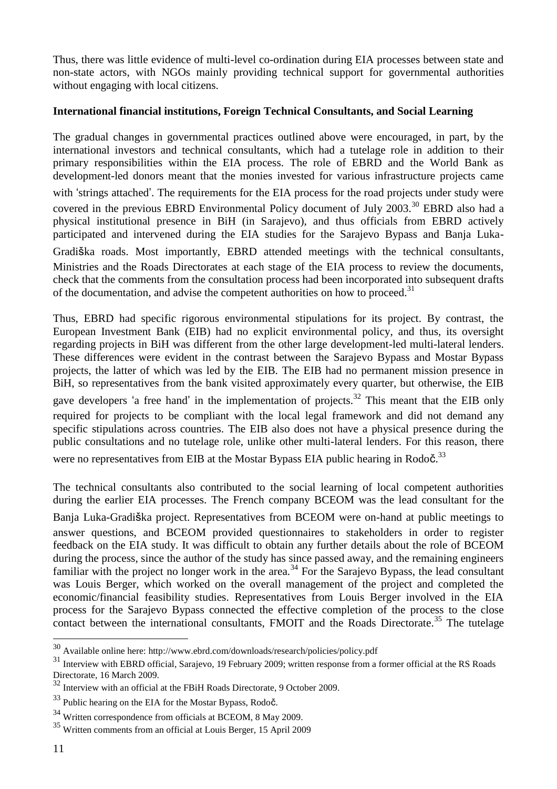Thus, there was little evidence of multi-level co-ordination during EIA processes between state and non-state actors, with NGOs mainly providing technical support for governmental authorities without engaging with local citizens.

#### **International financial institutions, Foreign Technical Consultants, and Social Learning**

The gradual changes in governmental practices outlined above were encouraged, in part, by the international investors and technical consultants, which had a tutelage role in addition to their primary responsibilities within the EIA process. The role of EBRD and the World Bank as development-led donors meant that the monies invested for various infrastructure projects came with 'strings attached'. The requirements for the EIA process for the road projects under study were covered in the previous EBRD Environmental Policy document of July 2003.<sup>30</sup> EBRD also had a physical institutional presence in BiH (in Sarajevo), and thus officials from EBRD actively participated and intervened during the EIA studies for the Sarajevo Bypass and Banja Luka-Gradiška roads. Most importantly, EBRD attended meetings with the technical consultants, Ministries and the Roads Directorates at each stage of the EIA process to review the documents, check that the comments from the consultation process had been incorporated into subsequent drafts of the documentation, and advise the competent authorities on how to proceed.<sup>31</sup>

Thus, EBRD had specific rigorous environmental stipulations for its project. By contrast, the European Investment Bank (EIB) had no explicit environmental policy, and thus, its oversight regarding projects in BiH was different from the other large development-led multi-lateral lenders. These differences were evident in the contrast between the Sarajevo Bypass and Mostar Bypass projects, the latter of which was led by the EIB. The EIB had no permanent mission presence in BiH, so representatives from the bank visited approximately every quarter, but otherwise, the EIB gave developers 'a free hand' in the implementation of projects.<sup>32</sup> This meant that the EIB only required for projects to be compliant with the local legal framework and did not demand any specific stipulations across countries. The EIB also does not have a physical presence during the public consultations and no tutelage role, unlike other multi-lateral lenders. For this reason, there were no representatives from EIB at the Mostar Bypass EIA public hearing in Rodoč.<sup>33</sup>

The technical consultants also contributed to the social learning of local competent authorities during the earlier EIA processes. The French company BCEOM was the lead consultant for the Banja Luka-Gradiška project. Representatives from BCEOM were on-hand at public meetings to answer questions, and BCEOM provided questionnaires to stakeholders in order to register feedback on the EIA study. It was difficult to obtain any further details about the role of BCEOM during the process, since the author of the study has since passed away, and the remaining engineers familiar with the project no longer work in the area.<sup>34</sup> For the Sarajevo Bypass, the lead consultant was Louis Berger, which worked on the overall management of the project and completed the economic/financial feasibility studies. Representatives from Louis Berger involved in the EIA process for the Sarajevo Bypass connected the effective completion of the process to the close contact between the international consultants, FMOIT and the Roads Directorate.<sup>35</sup> The tutelage

<sup>30</sup> Available online here: http://www.ebrd.com/downloads/research/policies/policy.pdf

<sup>&</sup>lt;sup>31</sup> Interview with EBRD official, Sarajevo, 19 February 2009; written response from a former official at the RS Roads Directorate, 16 March 2009.

<sup>32</sup> Interview with an official at the FBiH Roads Directorate, 9 October 2009.

 $33$  Public hearing on the EIA for the Mostar Bypass, Rodo**č**.

<sup>34</sup> Written correspondence from officials at BCEOM, 8 May 2009.

<sup>35</sup> Written comments from an official at Louis Berger, 15 April 2009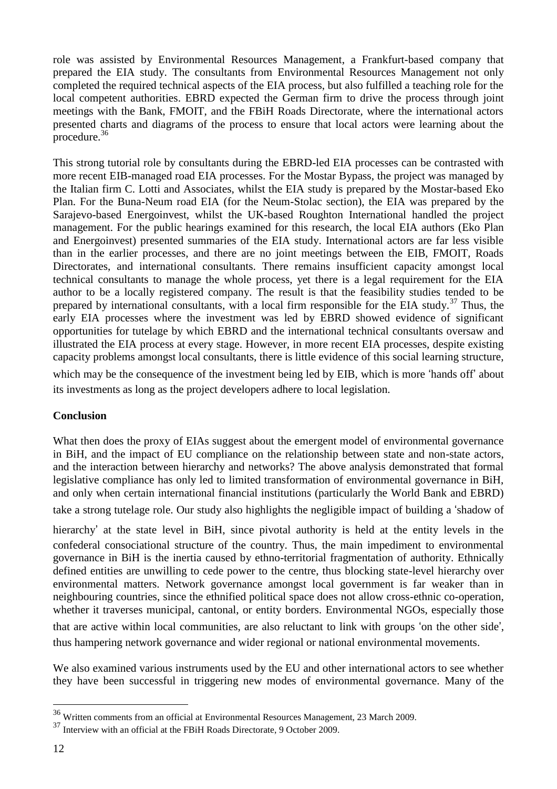role was assisted by Environmental Resources Management, a Frankfurt-based company that prepared the EIA study. The consultants from Environmental Resources Management not only completed the required technical aspects of the EIA process, but also fulfilled a teaching role for the local competent authorities. EBRD expected the German firm to drive the process through joint meetings with the Bank, FMOIT, and the FBiH Roads Directorate, where the international actors presented charts and diagrams of the process to ensure that local actors were learning about the procedure.<sup>36</sup>

This strong tutorial role by consultants during the EBRD-led EIA processes can be contrasted with more recent EIB-managed road EIA processes. For the Mostar Bypass, the project was managed by the Italian firm C. Lotti and Associates, whilst the EIA study is prepared by the Mostar-based Eko Plan. For the Buna-Neum road EIA (for the Neum-Stolac section), the EIA was prepared by the Sarajevo-based Energoinvest, whilst the UK-based Roughton International handled the project management. For the public hearings examined for this research, the local EIA authors (Eko Plan and Energoinvest) presented summaries of the EIA study. International actors are far less visible than in the earlier processes, and there are no joint meetings between the EIB, FMOIT, Roads Directorates, and international consultants. There remains insufficient capacity amongst local technical consultants to manage the whole process, yet there is a legal requirement for the EIA author to be a locally registered company. The result is that the feasibility studies tended to be prepared by international consultants, with a local firm responsible for the EIA study.<sup>37</sup> Thus, the early EIA processes where the investment was led by EBRD showed evidence of significant opportunities for tutelage by which EBRD and the international technical consultants oversaw and illustrated the EIA process at every stage. However, in more recent EIA processes, despite existing capacity problems amongst local consultants, there is little evidence of this social learning structure,

which may be the consequence of the investment being led by EIB, which is more 'hands off' about its investments as long as the project developers adhere to local legislation.

#### **Conclusion**

What then does the proxy of EIAs suggest about the emergent model of environmental governance in BiH, and the impact of EU compliance on the relationship between state and non-state actors, and the interaction between hierarchy and networks? The above analysis demonstrated that formal legislative compliance has only led to limited transformation of environmental governance in BiH, and only when certain international financial institutions (particularly the World Bank and EBRD)

take a strong tutelage role. Our study also highlights the negligible impact of building a 'shadow of

hierarchy' at the state level in BiH, since pivotal authority is held at the entity levels in the confederal consociational structure of the country. Thus, the main impediment to environmental governance in BiH is the inertia caused by ethno-territorial fragmentation of authority. Ethnically defined entities are unwilling to cede power to the centre, thus blocking state-level hierarchy over environmental matters. Network governance amongst local government is far weaker than in neighbouring countries, since the ethnified political space does not allow cross-ethnic co-operation, whether it traverses municipal, cantonal, or entity borders. Environmental NGOs, especially those

that are active within local communities, are also reluctant to link with groups 'on the other side', thus hampering network governance and wider regional or national environmental movements.

We also examined various instruments used by the EU and other international actors to see whether they have been successful in triggering new modes of environmental governance. Many of the

<sup>36</sup> Written comments from an official at Environmental Resources Management, 23 March 2009.

<sup>37</sup> Interview with an official at the FBiH Roads Directorate, 9 October 2009.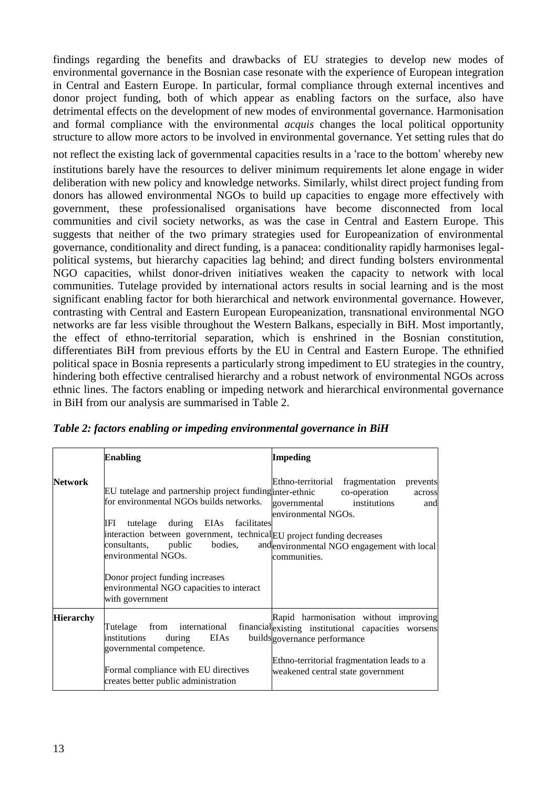findings regarding the benefits and drawbacks of EU strategies to develop new modes of environmental governance in the Bosnian case resonate with the experience of European integration in Central and Eastern Europe. In particular, formal compliance through external incentives and donor project funding, both of which appear as enabling factors on the surface, also have detrimental effects on the development of new modes of environmental governance. Harmonisation and formal compliance with the environmental *acquis* changes the local political opportunity structure to allow more actors to be involved in environmental governance. Yet setting rules that do

not reflect the existing lack of governmental capacities results in a 'race to the bottom' whereby new institutions barely have the resources to deliver minimum requirements let alone engage in wider deliberation with new policy and knowledge networks. Similarly, whilst direct project funding from donors has allowed environmental NGOs to build up capacities to engage more effectively with government, these professionalised organisations have become disconnected from local communities and civil society networks, as was the case in Central and Eastern Europe. This suggests that neither of the two primary strategies used for Europeanization of environmental governance, conditionality and direct funding, is a panacea: conditionality rapidly harmonises legalpolitical systems, but hierarchy capacities lag behind; and direct funding bolsters environmental NGO capacities, whilst donor-driven initiatives weaken the capacity to network with local communities. Tutelage provided by international actors results in social learning and is the most significant enabling factor for both hierarchical and network environmental governance. However, contrasting with Central and Eastern European Europeanization, transnational environmental NGO networks are far less visible throughout the Western Balkans, especially in BiH. Most importantly, the effect of ethno-territorial separation, which is enshrined in the Bosnian constitution, differentiates BiH from previous efforts by the EU in Central and Eastern Europe. The ethnified political space in Bosnia represents a particularly strong impediment to EU strategies in the country, hindering both effective centralised hierarchy and a robust network of environmental NGOs across ethnic lines. The factors enabling or impeding network and hierarchical environmental governance in BiH from our analysis are summarised in Table 2.

|                  | <b>Enabling</b>                                                                                                                                                                                                                                                                                                                                                        | <b>Impeding</b>                                                                                                                                                                                 |
|------------------|------------------------------------------------------------------------------------------------------------------------------------------------------------------------------------------------------------------------------------------------------------------------------------------------------------------------------------------------------------------------|-------------------------------------------------------------------------------------------------------------------------------------------------------------------------------------------------|
| <b>Network</b>   | EU tutelage and partnership project funding inter-ethnic<br>for environmental NGOs builds networks.<br>during EIAs facilitates<br>IFI<br>tutelage<br>interaction between government, technical EU project funding decreases<br>public<br>consultants,<br>bodies,<br>environmental NGOs.<br>Donor project funding increases<br>environmental NGO capacities to interact | Ethno-territorial fragmentation<br>prevents<br>co-operation<br>across<br>governmental institutions<br>and<br>environmental NGOs.<br>and environmental NGO engagement with local<br>communities. |
|                  | with government                                                                                                                                                                                                                                                                                                                                                        |                                                                                                                                                                                                 |
| <b>Hierarchy</b> | Tutelage<br>from international<br>institutions<br>EIAs<br>during<br>governmental competence.                                                                                                                                                                                                                                                                           | Rapid harmonisation without improving<br>financiallexisting institutional capacities worsens<br>builds governance performance                                                                   |
|                  | Formal compliance with EU directives<br>creates better public administration                                                                                                                                                                                                                                                                                           | Ethno-territorial fragmentation leads to a<br>weakened central state government                                                                                                                 |

*Table 2: factors enabling or impeding environmental governance in BiH*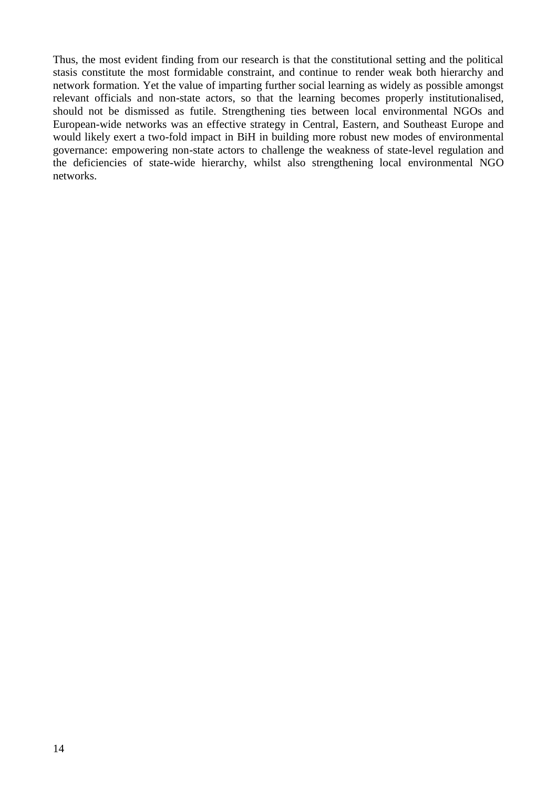Thus, the most evident finding from our research is that the constitutional setting and the political stasis constitute the most formidable constraint, and continue to render weak both hierarchy and network formation. Yet the value of imparting further social learning as widely as possible amongst relevant officials and non-state actors, so that the learning becomes properly institutionalised, should not be dismissed as futile. Strengthening ties between local environmental NGOs and European-wide networks was an effective strategy in Central, Eastern, and Southeast Europe and would likely exert a two-fold impact in BiH in building more robust new modes of environmental governance: empowering non-state actors to challenge the weakness of state-level regulation and the deficiencies of state-wide hierarchy, whilst also strengthening local environmental NGO networks.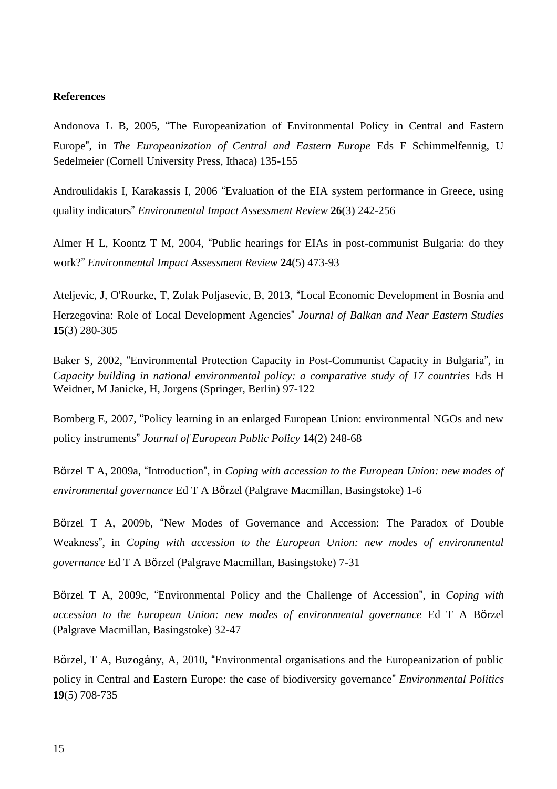#### **References**

Andonova L B, 2005, "The Europeanization of Environmental Policy in Central and Eastern Europe", in *The Europeanization of Central and Eastern Europe* Eds F Schimmelfennig, U Sedelmeier (Cornell University Press, Ithaca) 135-155

Androulidakis I, Karakassis I, 2006 "Evaluation of the EIA system performance in Greece, using quality indicators" *Environmental Impact Assessment Review* **26**(3) 242-256

Almer H L, Koontz T M, 2004, "Public hearings for EIAs in post-communist Bulgaria: do they work?" *Environmental Impact Assessment Review* **24**(5) 473-93

Ateljevic, J, O'Rourke, T, Zolak Poljasevic, B, 2013, "Local Economic Development in Bosnia and Herzegovina: Role of Local Development Agencies" *Journal of Balkan and Near Eastern Studies* **15**(3) 280-305

Baker S, 2002, "Environmental Protection Capacity in Post-Communist Capacity in Bulgaria", in *Capacity building in national environmental policy: a comparative study of 17 countries* Eds H Weidner, M Janicke, H, Jorgens (Springer, Berlin) 97-122

Bomberg E, 2007, "Policy learning in an enlarged European Union: environmental NGOs and new policy instruments" *Journal of European Public Policy* **14**(2) 248-68

Börzel T A, 2009a, "Introduction", in *Coping with accession to the European Union: new modes of environmental governance* Ed T A Börzel (Palgrave Macmillan, Basingstoke) 1-6

Börzel T A, 2009b, "New Modes of Governance and Accession: The Paradox of Double Weakness", in *Coping with accession to the European Union: new modes of environmental governance* Ed T A Börzel (Palgrave Macmillan, Basingstoke) 7-31

Börzel T A, 2009c, "Environmental Policy and the Challenge of Accession", in *Coping with accession to the European Union: new modes of environmental governance* Ed T A Börzel (Palgrave Macmillan, Basingstoke) 32-47

Börzel, T A, Buzogány, A, 2010, "Environmental organisations and the Europeanization of public policy in Central and Eastern Europe: the case of biodiversity governance" *Environmental Politics* **19**(5) 708-735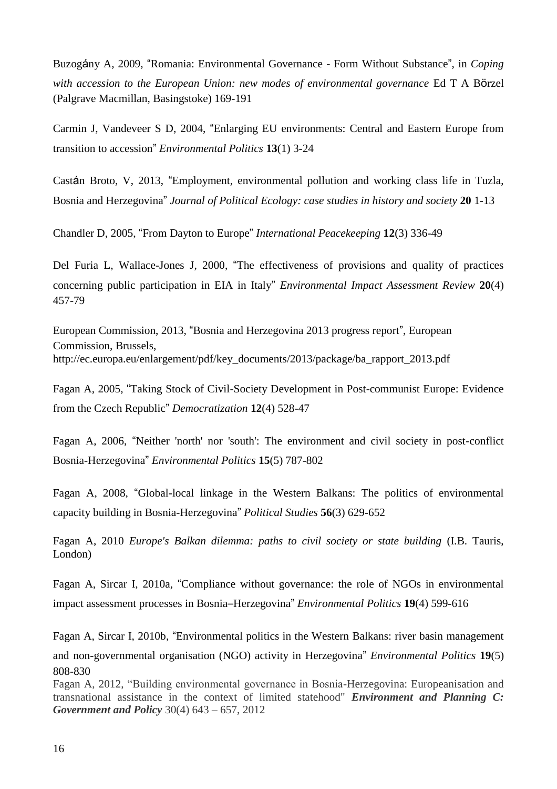Buzogány A, 2009, "Romania: Environmental Governance - Form Without Substance", in *Coping with accession to the European Union: new modes of environmental governance* Ed T A Börzel (Palgrave Macmillan, Basingstoke) 169-191

Carmin J, Vandeveer S D, 2004, "Enlarging EU environments: Central and Eastern Europe from transition to accession" *Environmental Politics* **13**(1) 3-24

Castán Broto, V, 2013, "Employment, environmental pollution and working class life in Tuzla, Bosnia and Herzegovina" *Journal of Political Ecology: case studies in history and society* **20** 1-13

Chandler D, 2005, "From Dayton to Europe" *International Peacekeeping* **12**(3) 336-49

Del Furia L, Wallace-Jones J, 2000, "The effectiveness of provisions and quality of practices concerning public participation in EIA in Italy" *Environmental Impact Assessment Review* **20**(4) 457-79

European Commission, 2013, "Bosnia and Herzegovina 2013 progress report", European Commission, Brussels, http://ec.europa.eu/enlargement/pdf/key\_documents/2013/package/ba\_rapport\_2013.pdf

Fagan A, 2005, "Taking Stock of Civil-Society Development in Post-communist Europe: Evidence from the Czech Republic" *Democratization* **12**(4) 528-47

Fagan A, 2006, "Neither 'north' nor 'south': The environment and civil society in post-conflict Bosnia-Herzegovina" *Environmental Politics* **15**(5) 787-802

Fagan A, 2008, "Global-local linkage in the Western Balkans: The politics of environmental capacity building in Bosnia-Herzegovina" *Political Studies* **56**(3) 629-652

Fagan A, 2010 *Europe's Balkan dilemma: paths to civil society or state building* (I.B. Tauris, London)

Fagan A, Sircar I, 2010a, "Compliance without governance: the role of NGOs in environmental impact assessment processes in Bosnia–Herzegovina" *Environmental Politics* **19**(4) 599-616

Fagan A, Sircar I, 2010b, "Environmental politics in the Western Balkans: river basin management and non-governmental organisation (NGO) activity in Herzegovina" *Environmental Politics* **19**(5) 808-830

Fagan A, 2012, "Building environmental governance in Bosnia-Herzegovina: Europeanisation and transnational assistance in the context of limited statehood" *Environment and Planning C: Government and Policy* 30(4) 643 – 657, 2012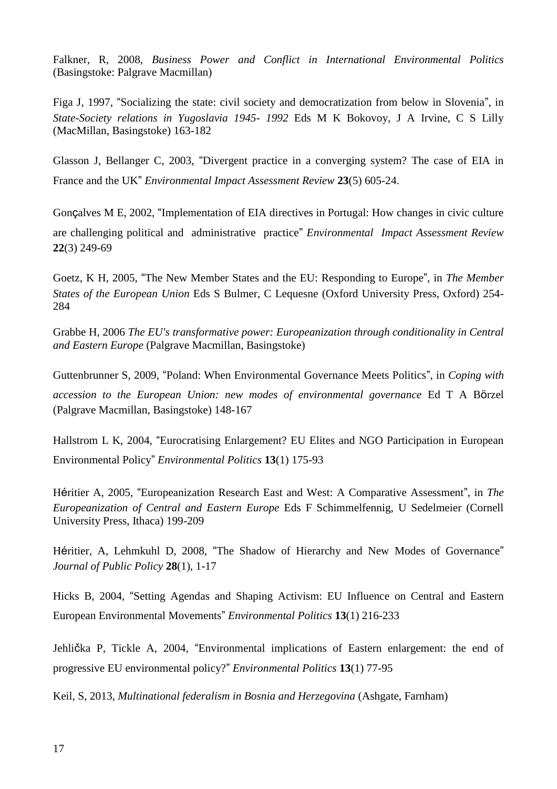Falkner, R, 2008, *Business Power and Conflict in International Environmental Politics* (Basingstoke: Palgrave Macmillan)

Figa J, 1997, "Socializing the state: civil society and democratization from below in Slovenia", in *State-Society relations in Yugoslavia 1945- 1992* Eds M K Bokovoy, J A Irvine, C S Lilly (MacMillan, Basingstoke) 163-182

Glasson J, Bellanger C, 2003, "Divergent practice in a converging system? The case of EIA in France and the UK" *Environmental Impact Assessment Review* **23**(5) 605-24.

Gonçalves M E, 2002, "Implementation of EIA directives in Portugal: How changes in civic culture are challenging political and administrative practice" *Environmental Impact Assessment Review* **22**(3) 249-69

Goetz, K H, 2005, "The New Member States and the EU: Responding to Europe", in *The Member States of the European Union* Eds S Bulmer, C Lequesne (Oxford University Press, Oxford) 254- 284

Grabbe H, 2006 *The EU's transformative power: Europeanization through conditionality in Central and Eastern Europe* (Palgrave Macmillan, Basingstoke)

Guttenbrunner S, 2009, "Poland: When Environmental Governance Meets Politics", in *Coping with* 

*accession to the European Union: new modes of environmental governance* Ed T A Börzel (Palgrave Macmillan, Basingstoke) 148-167

Hallstrom L K, 2004, "Eurocratising Enlargement? EU Elites and NGO Participation in European Environmental Policy" *Environmental Politics* **13**(1) 175-93

Héritier A, 2005, "Europeanization Research East and West: A Comparative Assessment", in *The Europeanization of Central and Eastern Europe* Eds F Schimmelfennig, U Sedelmeier (Cornell University Press, Ithaca) 199-209

Héritier, A, Lehmkuhl D, 2008, "The Shadow of Hierarchy and New Modes of Governance" *Journal of Public Policy* **28**(1), 1-17

Hicks B, 2004, "Setting Agendas and Shaping Activism: EU Influence on Central and Eastern European Environmental Movements" *Environmental Politics* **13**(1) 216-233

Jehlička P, Tickle A, 2004, "Environmental implications of Eastern enlargement: the end of progressive EU environmental policy?" *Environmental Politics* **13**(1) 77-95

Keil, S, 2013, *Multinational federalism in Bosnia and Herzegovina* (Ashgate, Farnham)